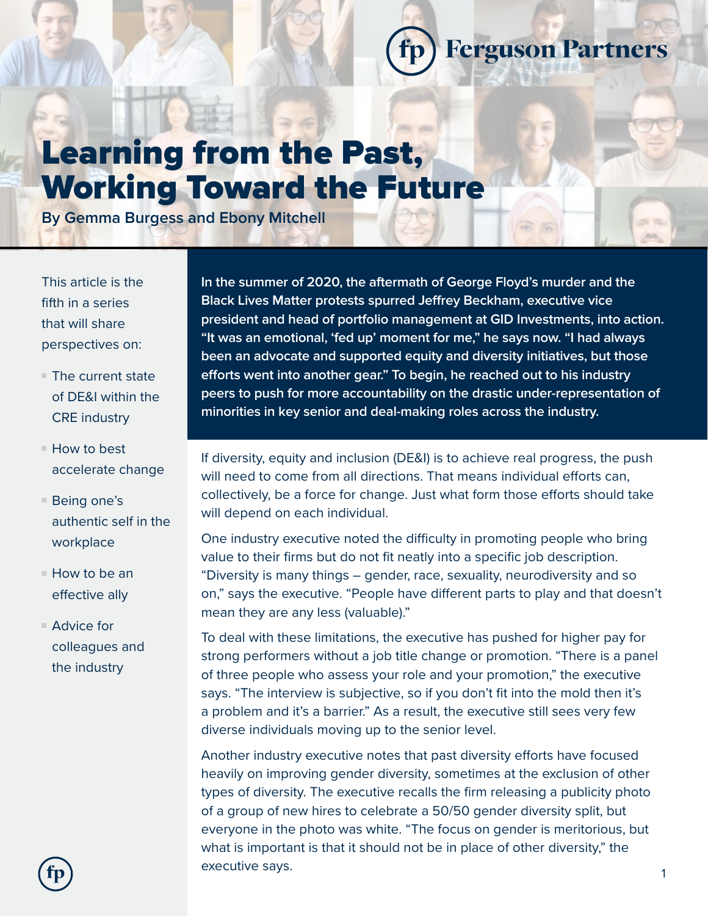# Learning from the Past, Working Toward the Future

**By Gemma Burgess and Ebony Mitchell**

This article is the fifth in a series that will share perspectives on:

- $\blacksquare$  The current state of DE&I within the CRE industry
- $\blacksquare$  How to best accelerate change
- $\blacksquare$  Being one's authentic self in the workplace
- $\blacksquare$  How to be an effective ally
- $\blacksquare$  Advice for colleagues and the industry

**In the summer of 2020, the aftermath of George Floyd's murder and the Black Lives Matter protests spurred Jeffrey Beckham, executive vice president and head of portfolio management at GID Investments, into action. "It was an emotional, 'fed up' moment for me," he says now. "I had always been an advocate and supported equity and diversity initiatives, but those efforts went into another gear." To begin, he reached out to his industry peers to push for more accountability on the drastic under-representation of minorities in key senior and deal-making roles across the industry.** 

fp

**Ferguson Partners** 

If diversity, equity and inclusion (DE&I) is to achieve real progress, the push will need to come from all directions. That means individual efforts can, collectively, be a force for change. Just what form those efforts should take will depend on each individual.

One industry executive noted the difficulty in promoting people who bring value to their firms but do not fit neatly into a specific job description. "Diversity is many things – gender, race, sexuality, neurodiversity and so on," says the executive. "People have different parts to play and that doesn't mean they are any less (valuable)."

To deal with these limitations, the executive has pushed for higher pay for strong performers without a job title change or promotion. "There is a panel of three people who assess your role and your promotion," the executive says. "The interview is subjective, so if you don't fit into the mold then it's a problem and it's a barrier." As a result, the executive still sees very few diverse individuals moving up to the senior level.

Another industry executive notes that past diversity efforts have focused heavily on improving gender diversity, sometimes at the exclusion of other types of diversity. The executive recalls the firm releasing a publicity photo of a group of new hires to celebrate a 50/50 gender diversity split, but everyone in the photo was white. "The focus on gender is meritorious, but what is important is that it should not be in place of other diversity," the executive says.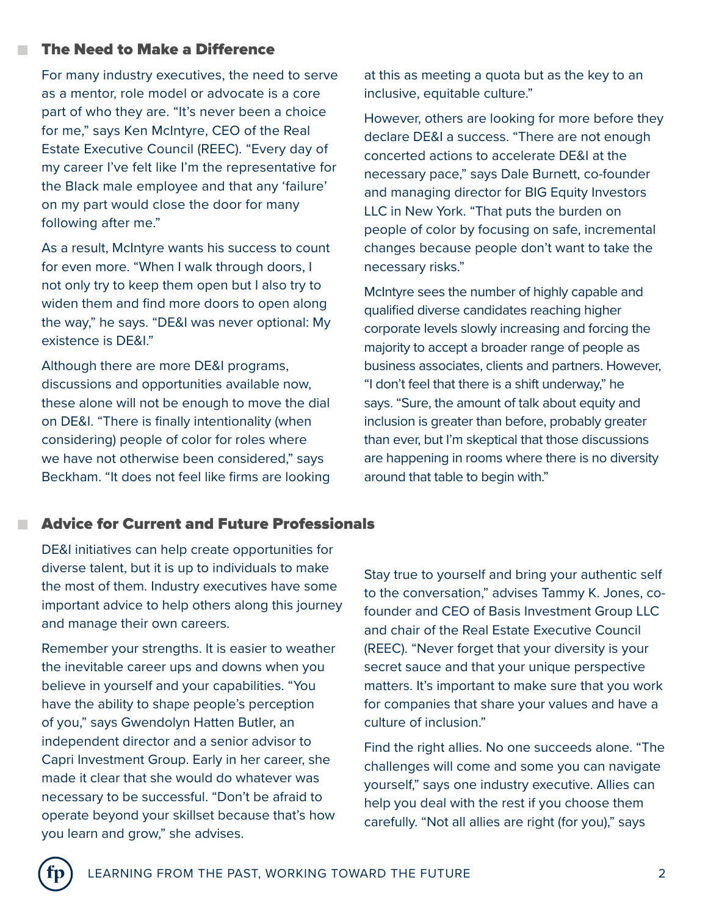#### The Need to Make a Difference

n

n

For many industry executives, the need to serve as a mentor, role model or advocate is a core part of who they are. "It's never been a choice for me," says Ken McIntyre, CEO of the Real Estate Executive Council (REEC). "Every day of my career I've felt like I'm the representative for the Black male employee and that any 'failure' on my part would close the door for many following after me."

As a result, McIntyre wants his success to count for even more. "When I walk through doors, I not only try to keep them open but I also try to widen them and find more doors to open along the way," he says. "DE&I was never optional: My existence is DE&I."

Although there are more DE&I programs, discussions and opportunities available now, these alone will not be enough to move the dial on DE&I. "There is finally intentionality (when considering) people of color for roles where we have not otherwise been considered," says Beckham. "It does not feel like firms are looking at this as meeting a quota but as the key to an inclusive, equitable culture."

However, others are looking for more before they declare DE&I a success. "There are not enough concerted actions to accelerate DE&I at the necessary pace," says Dale Burnett, co-founder and managing director for BIG Equity Investors LLC in New York. "That puts the burden on people of color by focusing on safe, incremental changes because people don't want to take the necessary risks."

McIntyre sees the number of highly capable and qualified diverse candidates reaching higher corporate levels slowly increasing and forcing the majority to accept a broader range of people as business associates, clients and partners. However, "I don't feel that there is a shift underway," he says. "Sure, the amount of talk about equity and inclusion is greater than before, probably greater than ever, but I'm skeptical that those discussions are happening in rooms where there is no diversity around that table to begin with."

### Advice for Current and Future Professionals

DE&I initiatives can help create opportunities for diverse talent, but it is up to individuals to make the most of them. Industry executives have some important advice to help others along this journey and manage their own careers.

Remember your strengths. It is easier to weather the inevitable career ups and downs when you believe in yourself and your capabilities. "You have the ability to shape people's perception of you," says Gwendolyn Hatten Butler, an independent director and a senior advisor to Capri Investment Group. Early in her career, she made it clear that she would do whatever was necessary to be successful. "Don't be afraid to operate beyond your skillset because that's how you learn and grow," she advises.

Stay true to yourself and bring your authentic self to the conversation," advises Tammy K. Jones, cofounder and CEO of Basis Investment Group LLC and chair of the Real Estate Executive Council (REEC). "Never forget that your diversity is your secret sauce and that your unique perspective matters. It's important to make sure that you work for companies that share your values and have a culture of inclusion."

Find the right allies. No one succeeds alone. "The challenges will come and some you can navigate yourself," says one industry executive. Allies can help you deal with the rest if you choose them carefully. "Not all allies are right (for you)," says